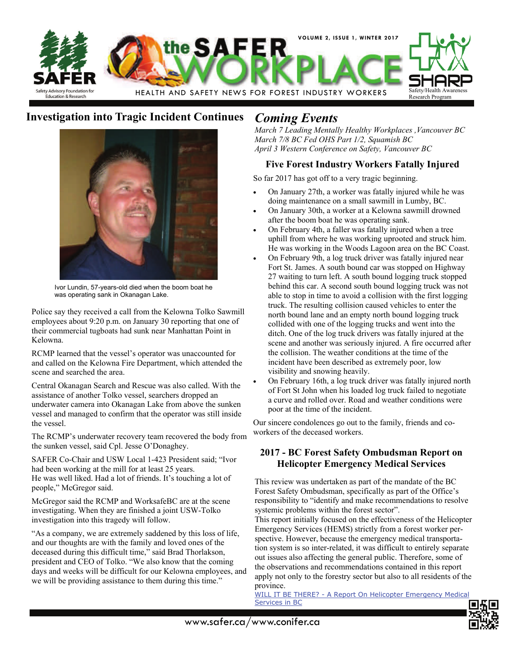

## **Investigation into Tragic Incident Continues** *Coming Events*



Ivor Lundin, 57-years-old died when the boom boat he was operating sank in Okanagan Lake.

Police say they received a call from the Kelowna Tolko Sawmill employees about 9:20 p.m. on January 30 reporting that one of their commercial tugboats had sunk near Manhattan Point in Kelowna.

RCMP learned that the vessel's operator was unaccounted for and called on the Kelowna Fire Department, which attended the scene and searched the area.

Central Okanagan Search and Rescue was also called. With the assistance of another Tolko vessel, searchers dropped an underwater camera into Okanagan Lake from above the sunken vessel and managed to confirm that the operator was still inside the vessel.

The RCMP's underwater recovery team recovered the body from the sunken vessel, said Cpl. Jesse O'Donaghey.

SAFER Co-Chair and USW Local 1-423 President said; "Ivor had been working at the mill for at least 25 years. He was well liked. Had a lot of friends. It's touching a lot of people," McGregor said.

McGregor said the RCMP and WorksafeBC are at the scene investigating. When they are finished a joint USW-Tolko investigation into this tragedy will follow.

"As a company, we are extremely saddened by this loss of life, and our thoughts are with the family and loved ones of the deceased during this difficult time," said Brad Thorlakson, president and CEO of Tolko. "We also know that the coming days and weeks will be difficult for our Kelowna employees, and we will be providing assistance to them during this time."

*March 7 Leading Mentally Healthy Workplaces ,Vancouver BC March 7/8 BC Fed OHS Part 1/2, Squamish BC April 3 Western Conference on Safety, Vancouver BC* 

### **Five Forest Industry Workers Fatally Injured**

So far 2017 has got off to a very tragic beginning.

- On January 27th, a worker was fatally injured while he was doing maintenance on a small sawmill in Lumby, BC.
- On January 30th, a worker at a Kelowna sawmill drowned after the boom boat he was operating sank.
- On February 4th, a faller was fatally injured when a tree uphill from where he was working uprooted and struck him. He was working in the Woods Lagoon area on the BC Coast.
- On February 9th, a log truck driver was fatally injured near Fort St. James. A south bound car was stopped on Highway 27 waiting to turn left. A south bound logging truck stopped behind this car. A second south bound logging truck was not able to stop in time to avoid a collision with the first logging truck. The resulting collision caused vehicles to enter the north bound lane and an empty north bound logging truck collided with one of the logging trucks and went into the ditch. One of the log truck drivers was fatally injured at the scene and another was seriously injured. A fire occurred after the collision. The weather conditions at the time of the incident have been described as extremely poor, low visibility and snowing heavily.
- On February 16th, a log truck driver was fatally injured north of Fort St John when his loaded log truck failed to negotiate a curve and rolled over. Road and weather conditions were poor at the time of the incident.

Our sincere condolences go out to the family, friends and coworkers of the deceased workers.

#### **2017 - BC Forest Safety Ombudsman Report on Helicopter Emergency Medical Services**

This review was undertaken as part of the mandate of the BC Forest Safety Ombudsman, specifically as part of the Office's responsibility to "identify and make recommendations to resolve systemic problems within the forest sector".

This report initially focused on the effectiveness of the Helicopter Emergency Services (HEMS) strictly from a forest worker perspective. However, because the emergency medical transportation system is so inter-related, it was difficult to entirely separate out issues also affecting the general public. Therefore, some of the observations and recommendations contained in this report apply not only to the forestry sector but also to all residents of the province.

[WILL IT BE THERE? - A Report On Helicopter Emergency Medical](http://www.bcforestsafe.org/files/HEMS_Report_jan31.pdf)  [Services in BC](http://www.bcforestsafe.org/files/HEMS_Report_jan31.pdf)